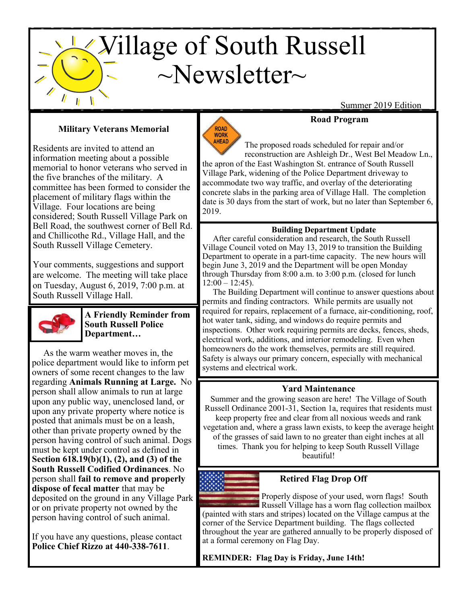# $\angle$ Village of South Russell  $\sim$ Newsletter $\sim$

Summer 2019 Edition

## **Military Veterans Memorial**

Residents are invited to attend an information meeting about a possible memorial to honor veterans who served in the five branches of the military. A committee has been formed to consider the placement of military flags within the Village. Four locations are being considered; South Russell Village Park on Bell Road, the southwest corner of Bell Rd. and Chillicothe Rd., Village Hall, and the South Russell Village Cemetery.

Your comments, suggestions and support are welcome. The meeting will take place on Tuesday, August 6, 2019, 7:00 p.m. at South Russell Village Hall.



**A Friendly Reminder from South Russell Police Department…**

 posted that animals must be on a leash, As the warm weather moves in, the police department would like to inform pet owners of some recent changes to the law regarding **Animals Running at Large.** No person shall allow animals to run at large upon any public way, unenclosed land, or upon any private property where notice is other than private property owned by the person having control of such animal. Dogs must be kept under control as defined in **Section 618.19(b)(1), (2), and (3) of the South Russell Codified Ordinances**. No person shall **fail to remove and properly dispose of fecal matter** that may be deposited on the ground in any Village Park or on private property not owned by the person having control of such animal.

If you have any questions, please contact **Police Chief Rizzo at 440-338-7611**.



The proposed roads scheduled for repair and/or reconstruction are Ashleigh Dr., West Bel Meadow Ln., the apron of the East Washington St. entrance of South Russell Village Park, widening of the Police Department driveway to accommodate two way traffic, and overlay of the deteriorating concrete slabs in the parking area of Village Hall. The completion date is 30 days from the start of work, but no later than September 6, 2019.

**Road Program**

## **Building Department Update**

 After careful consideration and research, the South Russell Village Council voted on May 13, 2019 to transition the Building Department to operate in a part-time capacity. The new hours will begin June 3, 2019 and the Department will be open Monday through Thursday from 8:00 a.m. to 3:00 p.m. (closed for lunch  $12:00 - 12:45$ ).

 The Building Department will continue to answer questions about permits and finding contractors. While permits are usually not required for repairs, replacement of a furnace, air-conditioning, roof, hot water tank, siding, and windows do require permits and inspections. Other work requiring permits are decks, fences, sheds, electrical work, additions, and interior remodeling. Even when homeowners do the work themselves, permits are still required. Safety is always our primary concern, especially with mechanical systems and electrical work.

## **Yard Maintenance**

Summer and the growing season are here! The Village of South Russell Ordinance 2001-31, Section 1a, requires that residents must keep property free and clear from all noxious weeds and rank vegetation and, where a grass lawn exists, to keep the average height of the grasses of said lawn to no greater than eight inches at all times. Thank you for helping to keep South Russell Village beautiful!



## **Retired Flag Drop Off**

Properly dispose of your used, worn flags! South **Russell Village has a worn flag collection mailbox** (painted with stars and stripes) located on the Village campus at the corner of the Service Department building. The flags collected throughout the year are gathered annually to be properly disposed of at a formal ceremony on Flag Day.

**REMINDER: Flag Day is Friday, June 14th!**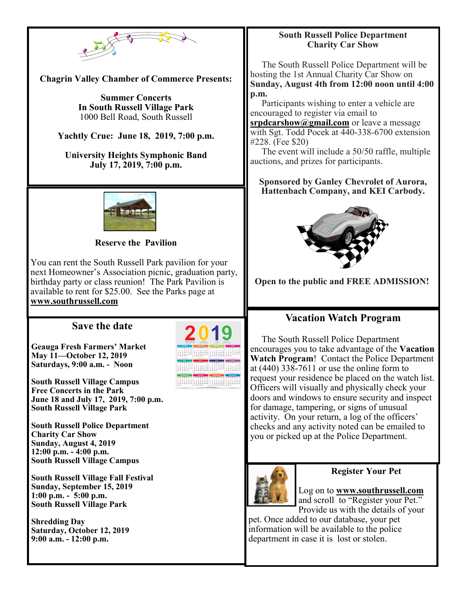

**Chagrin Valley Chamber of Commerce Presents:**

**Summer Concerts In South Russell Village Park** 1000 Bell Road, South Russell

**Yachtly Crue: June 18, 2019, 7:00 p.m.**

**University Heights Symphonic Band July 17, 2019, 7:00 p.m.**



#### **Reserve the Pavilion**

You can rent the South Russell Park pavilion for your next Homeowner's Association picnic, graduation party, birthday party or class reunion! The Park Pavilion is available to rent for \$25.00. See the Parks page at **[www.southrussell.com](http://www.southrussell.com)**

## **Save the date**

**Geauga Fresh Farmers' Market May 11—October 12, 2019 Saturdays, 9:00 a.m. - Noon**

**South Russell Village Campus Free Concerts in the Park June 18 and July 17, 2019, 7:00 p.m. South Russell Village Park**

**South Russell Police Department Charity Car Show Sunday, August 4, 2019 12:00 p.m. - 4:00 p.m. South Russell Village Campus**

**South Russell Village Fall Festival Sunday, September 15, 2019 1:00 p.m. - 5:00 p.m. South Russell Village Park**

**Shredding Day Saturday, October 12, 2019 9:00 a.m. - 12:00 p.m.**



#### **South Russell Police Department Charity Car Show**

 The South Russell Police Department will be hosting the 1st Annual Charity Car Show on **Sunday, August 4th from 12:00 noon until 4:00 p.m.**

 Participants wishing to enter a vehicle are encouraged to register via email to

**[srpdcarshow@gmail.com](mailto:srpdcarshow@gmail.com)** or leave a message with Sgt. Todd Pocek at 440-338-6700 extension #228. (Fee \$20)

 The event will include a 50/50 raffle, multiple auctions, and prizes for participants.

#### **Sponsored by Ganley Chevrolet of Aurora, Hattenbach Company, and KEI Carbody.**



**Open to the public and FREE ADMISSION!**

## **Vacation Watch Program**

 The South Russell Police Department encourages you to take advantage of the **Vacation Watch Program**! Contact the Police Department at (440) 338-7611 or use the online form to request your residence be placed on the watch list. Officers will visually and physically check your doors and windows to ensure security and inspect for damage, tampering, or signs of unusual activity. On your return, a log of the officers' checks and any activity noted can be emailed to you or picked up at the Police Department.



#### **Register Your Pet**

Log on to **[www.southrussell.com](http://www.southrussell.com)** and scroll to "Register your Pet." Provide us with the details of your

pet. Once added to our database, your pet information will be available to the police department in case it is lost or stolen.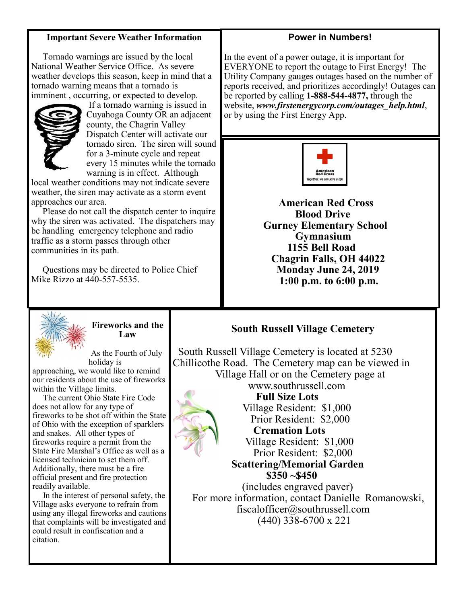#### **Important Severe Weather Information**

 Tornado warnings are issued by the local National Weather Service Office. As severe weather develops this season, keep in mind that a tornado warning means that a tornado is imminent , occurring, or expected to develop.



If a tornado warning is issued in Cuyahoga County OR an adjacent county, the Chagrin Valley Dispatch Center will activate our tornado siren. The siren will sound for a 3-minute cycle and repeat every 15 minutes while the tornado warning is in effect. Although

local weather conditions may not indicate severe weather, the siren may activate as a storm event approaches our area.

 Please do not call the dispatch center to inquire why the siren was activated. The dispatchers may be handling emergency telephone and radio traffic as a storm passes through other communities in its path.

 Questions may be directed to Police Chief Mike Rizzo at 440-557-5535.



**Fireworks and the Law**

holiday is approaching, we would like to remind our residents about the use of fireworks within the Village limits.

 The current Ohio State Fire Code does not allow for any type of fireworks to be shot off within the State of Ohio with the exception of sparklers and snakes. All other types of fireworks require a permit from the State Fire Marshal's Office as well as a licensed technician to set them off. Additionally, there must be a fire official present and fire protection readily available.

 In the interest of personal safety, the Village asks everyone to refrain from using any illegal fireworks and cautions that complaints will be investigated and could result in confiscation and a citation.

#### **Power in Numbers!**

In the event of a power outage, it is important for EVERYONE to report the outage to First Energy! The Utility Company gauges outages based on the number of reports received, and prioritizes accordingly! Outages can be reported by calling **1-888-544-4877,** through the website, *www.firstenergycorp.com/outages\_help.html*, or by using the First Energy App.



 **American Red Cross Blood Drive Gurney Elementary School Gymnasium 1155 Bell Road Chagrin Falls, OH 44022 Monday June 24, 2019 1:00 p.m. to 6:00 p.m.**

## **South Russell Village Cemetery**

 South Russell Village Cemetery is located at 5230 Chillicothe Road. The Cemetery map can be viewed in Village Hall or on the Cemetery page at www.southrussell.com **Full Size Lots** Village Resident: \$1,000 Prior Resident: \$2,000  **Cremation Lots** Village Resident: \$1,000 Prior Resident: \$2,000  **Scattering/Memorial Garden \$350 ~\$450** (includes engraved paver) For more information, contact Danielle Romanowski, fiscalofficer@southrussell.com (440) 338-6700 x 221